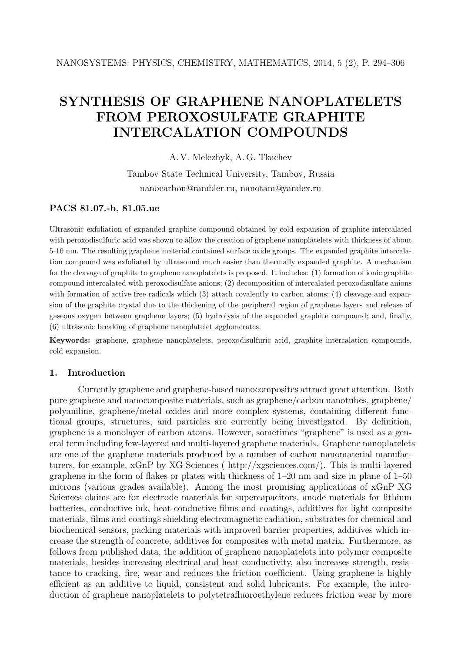# **SYNTHESIS OF GRAPHENE NANOPLATELETS FROM PEROXOSULFATE GRAPHITE INTERCALATION COMPOUNDS**

A. V. Melezhyk, A. G. Tkachev

Tambov State Technical University, Tambov, Russia nanocarbon@rambler.ru, nanotam@yandex.ru

## **PACS 81.07.-b, 81.05.ue**

Ultrasonic exfoliation of expanded graphite compound obtained by cold expansion of graphite intercalated with peroxodisulfuric acid was shown to allow the creation of graphene nanoplatelets with thickness of about 5-10 nm. The resulting graphene material contained surface oxide groups. The expanded graphite intercalation compound was exfoliated by ultrasound much easier than thermally expanded graphite. A mechanism for the cleavage of graphite to graphene nanoplatelets is proposed. It includes: (1) formation of ionic graphite compound intercalated with peroxodisulfate anions; (2) decomposition of intercalated peroxodisulfate anions with formation of active free radicals which (3) attach covalently to carbon atoms; (4) cleavage and expansion of the graphite crystal due to the thickening of the peripheral region of graphene layers and release of gaseous oxygen between graphene layers; (5) hydrolysis of the expanded graphite compound; and, finally, (6) ultrasonic breaking of graphene nanoplatelet agglomerates.

**Keywords:** graphene, graphene nanoplatelets, peroxodisulfuric acid, graphite intercalation compounds, cold expansion.

### **1. Introduction**

Currently graphene and graphene-based nanocomposites attract great attention. Both pure graphene and nanocomposite materials, such as graphene/carbon nanotubes, graphene/ polyaniline, graphene/metal oxides and more complex systems, containing different functional groups, structures, and particles are currently being investigated. By definition, graphene is a monolayer of carbon atoms. However, sometimes "graphene" is used as a general term including few-layered and multi-layered graphene materials. Graphene nanoplatelets are one of the graphene materials produced by a number of carbon nanomaterial manufacturers, for example, xGnP by XG Sciences ( http://xgsciences.com/). This is multi-layered graphene in the form of flakes or plates with thickness of 1–20 nm and size in plane of 1–50 microns (various grades available). Among the most promising applications of xGnP XG Sciences claims are for electrode materials for supercapacitors, anode materials for lithium batteries, conductive ink, heat-conductive films and coatings, additives for light composite materials, films and coatings shielding electromagnetic radiation, substrates for chemical and biochemical sensors, packing materials with improved barrier properties, additives which increase the strength of concrete, additives for composites with metal matrix. Furthermore, as follows from published data, the addition of graphene nanoplatelets into polymer composite materials, besides increasing electrical and heat conductivity, also increases strength, resistance to cracking, fire, wear and reduces the friction coefficient. Using graphene is highly efficient as an additive to liquid, consistent and solid lubricants. For example, the introduction of graphene nanoplatelets to polytetrafluoroethylene reduces friction wear by more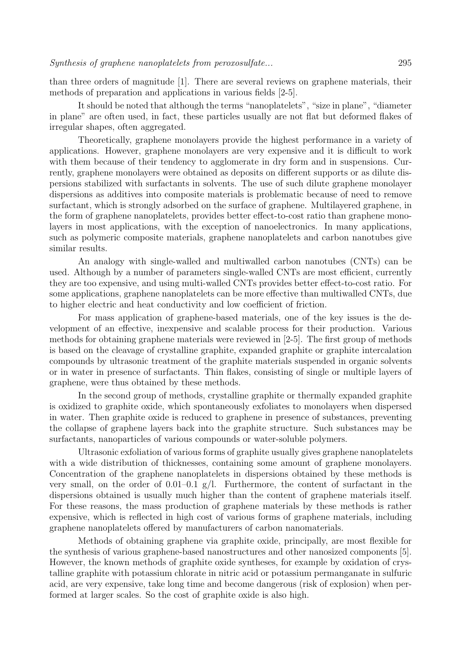than three orders of magnitude [1]. There are several reviews on graphene materials, their methods of preparation and applications in various fields [2-5].

It should be noted that although the terms "nanoplatelets", "size in plane", "diameter in plane" are often used, in fact, these particles usually are not flat but deformed flakes of irregular shapes, often aggregated.

Theoretically, graphene monolayers provide the highest performance in a variety of applications. However, graphene monolayers are very expensive and it is difficult to work with them because of their tendency to agglomerate in dry form and in suspensions. Currently, graphene monolayers were obtained as deposits on different supports or as dilute dispersions stabilized with surfactants in solvents. The use of such dilute graphene monolayer dispersions as additives into composite materials is problematic because of need to remove surfactant, which is strongly adsorbed on the surface of graphene. Multilayered graphene, in the form of graphene nanoplatelets, provides better effect-to-cost ratio than graphene monolayers in most applications, with the exception of nanoelectronics. In many applications, such as polymeric composite materials, graphene nanoplatelets and carbon nanotubes give similar results.

An analogy with single-walled and multiwalled carbon nanotubes (CNTs) can be used. Although by a number of parameters single-walled CNTs are most efficient, currently they are too expensive, and using multi-walled CNTs provides better effect-to-cost ratio. For some applications, graphene nanoplatelets can be more effective than multiwalled CNTs, due to higher electric and heat conductivity and low coefficient of friction.

For mass application of graphene-based materials, one of the key issues is the development of an effective, inexpensive and scalable process for their production. Various methods for obtaining graphene materials were reviewed in [2-5]. The first group of methods is based on the cleavage of crystalline graphite, expanded graphite or graphite intercalation compounds by ultrasonic treatment of the graphite materials suspended in organic solvents or in water in presence of surfactants. Thin flakes, consisting of single or multiple layers of graphene, were thus obtained by these methods.

In the second group of methods, crystalline graphite or thermally expanded graphite is oxidized to graphite oxide, which spontaneously exfoliates to monolayers when dispersed in water. Then graphite oxide is reduced to graphene in presence of substances, preventing the collapse of graphene layers back into the graphite structure. Such substances may be surfactants, nanoparticles of various compounds or water-soluble polymers.

Ultrasonic exfoliation of various forms of graphite usually gives graphene nanoplatelets with a wide distribution of thicknesses, containing some amount of graphene monolayers. Concentration of the graphene nanoplatelets in dispersions obtained by these methods is very small, on the order of 0.01–0.1  $g/l$ . Furthermore, the content of surfactant in the dispersions obtained is usually much higher than the content of graphene materials itself. For these reasons, the mass production of graphene materials by these methods is rather expensive, which is reflected in high cost of various forms of graphene materials, including graphene nanoplatelets offered by manufacturers of carbon nanomaterials.

Methods of obtaining graphene via graphite oxide, principally, are most flexible for the synthesis of various graphene-based nanostructures and other nanosized components [5]. However, the known methods of graphite oxide syntheses, for example by oxidation of crystalline graphite with potassium chlorate in nitric acid or potassium permanganate in sulfuric acid, are very expensive, take long time and become dangerous (risk of explosion) when performed at larger scales. So the cost of graphite oxide is also high.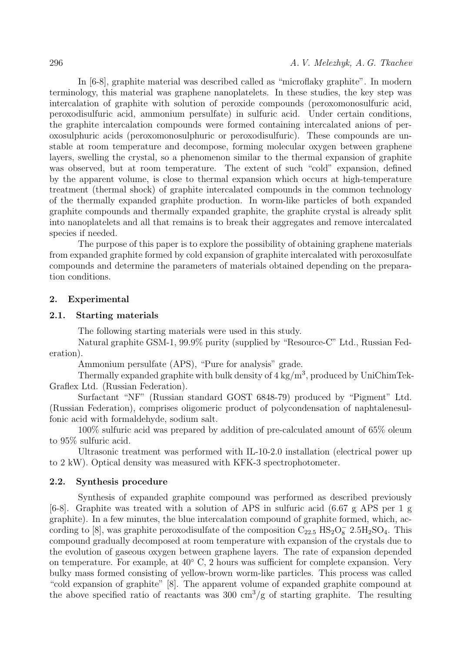In [6-8], graphite material was described called as "microflaky graphite". In modern terminology, this material was graphene nanoplatelets. In these studies, the key step was intercalation of graphite with solution of peroxide compounds (peroxomonosulfuric acid, peroxodisulfuric acid, ammonium persulfate) in sulfuric acid. Under certain conditions, the graphite intercalation compounds were formed containing intercalated anions of peroxosulphuric acids (peroxomonosulphuric or peroxodisulfuric). These compounds are unstable at room temperature and decompose, forming molecular oxygen between graphene layers, swelling the crystal, so a phenomenon similar to the thermal expansion of graphite was observed, but at room temperature. The extent of such "cold" expansion, defined by the apparent volume, is close to thermal expansion which occurs at high-temperature treatment (thermal shock) of graphite intercalated compounds in the common technology of the thermally expanded graphite production. In worm-like particles of both expanded graphite compounds and thermally expanded graphite, the graphite crystal is already split into nanoplatelets and all that remains is to break their aggregates and remove intercalated species if needed.

The purpose of this paper is to explore the possibility of obtaining graphene materials from expanded graphite formed by cold expansion of graphite intercalated with peroxosulfate compounds and determine the parameters of materials obtained depending on the preparation conditions.

#### **2. Experimental**

#### **2.1. Starting materials**

The following starting materials were used in this study.

Natural graphite GSM-1, 99.9% purity (supplied by "Resource-C" Ltd., Russian Federation).

Ammonium persulfate (APS), "Pure for analysis" grade.

Thermally expanded graphite with bulk density of  $4 \text{ kg/m}^3$ , produced by UniChimTek-Graflex Ltd. (Russian Federation).

Surfactant "NF" (Russian standard GOST 6848-79) produced by "Pigment" Ltd. (Russian Federation), comprises oligomeric product of polycondensation of naphtalenesulfonic acid with formaldehyde, sodium salt.

100% sulfuric acid was prepared by addition of pre-calculated amount of 65% oleum to 95% sulfuric acid.

Ultrasonic treatment was performed with IL-10-2.0 installation (electrical power up to 2 kW). Optical density was measured with KFK-3 spectrophotometer.

#### **2.2. Synthesis procedure**

Synthesis of expanded graphite compound was performed as described previously [6-8]. Graphite was treated with a solution of APS in sulfuric acid (6.67 g APS per 1 g graphite). In a few minutes, the blue intercalation compound of graphite formed, which, according to [8], was graphite peroxodisulfate of the composition  $C_{22.5}$   $\text{HS}_2\text{O}_8^ 2.5\text{H}_2\text{SO}_4$ . This compound gradually decomposed at room temperature with expansion of the crystals due to the evolution of gaseous oxygen between graphene layers. The rate of expansion depended on temperature. For example, at  $40^{\circ}$  C, 2 hours was sufficient for complete expansion. Very bulky mass formed consisting of yellow-brown worm-like particles. This process was called "cold expansion of graphite" [8]. The apparent volume of expanded graphite compound at the above specified ratio of reactants was 300  $\text{cm}^3/\text{g}$  of starting graphite. The resulting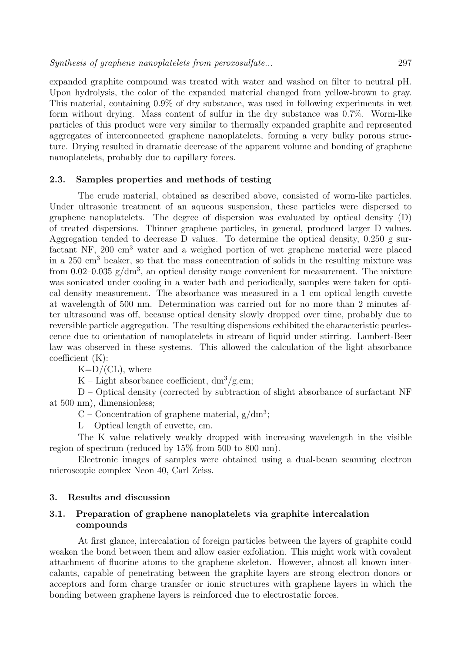expanded graphite compound was treated with water and washed on filter to neutral pH. Upon hydrolysis, the color of the expanded material changed from yellow-brown to gray. This material, containing 0.9% of dry substance, was used in following experiments in wet form without drying. Mass content of sulfur in the dry substance was 0.7%. Worm-like particles of this product were very similar to thermally expanded graphite and represented aggregates of interconnected graphene nanoplatelets, forming a very bulky porous structure. Drying resulted in dramatic decrease of the apparent volume and bonding of graphene nanoplatelets, probably due to capillary forces.

#### **2.3. Samples properties and methods of testing**

The crude material, obtained as described above, consisted of worm-like particles. Under ultrasonic treatment of an aqueous suspension, these particles were dispersed to graphene nanoplatelets. The degree of dispersion was evaluated by optical density (D) of treated dispersions. Thinner graphene particles, in general, produced larger D values. Aggregation tended to decrease D values. To determine the optical density, 0.250 g surfactant NF, 200 cm<sup>3</sup> water and a weighed portion of wet graphene material were placed in a  $250 \text{ cm}^3$  beaker, so that the mass concentration of solids in the resulting mixture was from 0.02–0.035  $g/dm^3$ , an optical density range convenient for measurement. The mixture was sonicated under cooling in a water bath and periodically, samples were taken for optical density measurement. The absorbance was measured in a 1 cm optical length cuvette at wavelength of 500 nm. Determination was carried out for no more than 2 minutes after ultrasound was off, because optical density slowly dropped over time, probably due to reversible particle aggregation. The resulting dispersions exhibited the characteristic pearlescence due to orientation of nanoplatelets in stream of liquid under stirring. Lambert-Beer law was observed in these systems. This allowed the calculation of the light absorbance coefficient (K):

 $K=D/(CL)$ , where

K – Light absorbance coefficient,  $dm^3/g.cm$ ;

D – Optical density (corrected by subtraction of slight absorbance of surfactant NF at 500 nm), dimensionless;

C – Concentration of graphene material,  $g/dm^3$ ;

L – Optical length of cuvette, cm.

The K value relatively weakly dropped with increasing wavelength in the visible region of spectrum (reduced by 15% from 500 to 800 nm).

Electronic images of samples were obtained using a dual-beam scanning electron microscopic complex Neon 40, Carl Zeiss.

#### **3. Results and discussion**

# **3.1. Preparation of graphene nanoplatelets via graphite intercalation compounds**

At first glance, intercalation of foreign particles between the layers of graphite could weaken the bond between them and allow easier exfoliation. This might work with covalent attachment of fluorine atoms to the graphene skeleton. However, almost all known intercalants, capable of penetrating between the graphite layers are strong electron donors or acceptors and form charge transfer or ionic structures with graphene layers in which the bonding between graphene layers is reinforced due to electrostatic forces.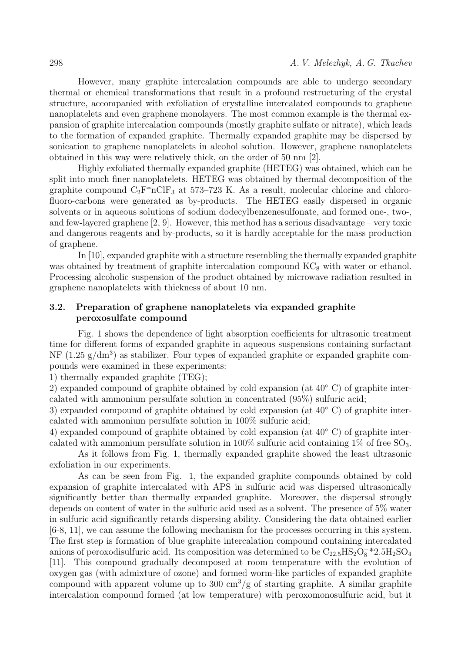However, many graphite intercalation compounds are able to undergo secondary thermal or chemical transformations that result in a profound restructuring of the crystal structure, accompanied with exfoliation of crystalline intercalated compounds to graphene nanoplatelets and even graphene monolayers. The most common example is the thermal expansion of graphite intercalation compounds (mostly graphite sulfate or nitrate), which leads to the formation of expanded graphite. Thermally expanded graphite may be dispersed by sonication to graphene nanoplatelets in alcohol solution. However, graphene nanoplatelets obtained in this way were relatively thick, on the order of 50 nm [2].

Highly exfoliated thermally expanded graphite (HETEG) was obtained, which can be split into much finer nanoplatelets. HETEG was obtained by thermal decomposition of the graphite compound  $C_2F^*nClF_3$  at 573–723 K. As a result, molecular chlorine and chlorofluoro-carbons were generated as by-products. The HETEG easily dispersed in organic solvents or in aqueous solutions of sodium dodecylbenzenesulfonate, and formed one-, two-, and few-layered graphene [2, 9]. However, this method has a serious disadvantage – very toxic and dangerous reagents and by-products, so it is hardly acceptable for the mass production of graphene.

In [10], expanded graphite with a structure resembling the thermally expanded graphite was obtained by treatment of graphite intercalation compound  $KC<sub>8</sub>$  with water or ethanol. Processing alcoholic suspension of the product obtained by microwave radiation resulted in graphene nanoplatelets with thickness of about 10 nm.

# **3.2. Preparation of graphene nanoplatelets via expanded graphite peroxosulfate compound**

Fig. 1 shows the dependence of light absorption coefficients for ultrasonic treatment time for different forms of expanded graphite in aqueous suspensions containing surfactant NF  $(1.25 \text{ g}/\text{dm}^3)$  as stabilizer. Four types of expanded graphite or expanded graphite compounds were examined in these experiments:

1) thermally expanded graphite (TEG);

2) expanded compound of graphite obtained by cold expansion (at 40◦ C) of graphite intercalated with ammonium persulfate solution in concentrated (95%) sulfuric acid;

3) expanded compound of graphite obtained by cold expansion (at 40◦ C) of graphite intercalated with ammonium persulfate solution in 100% sulfuric acid;

4) expanded compound of graphite obtained by cold expansion (at 40◦ C) of graphite intercalated with ammonium persulfate solution in  $100\%$  sulfuric acid containing  $1\%$  of free  $SO_3$ .

As it follows from Fig. 1, thermally expanded graphite showed the least ultrasonic exfoliation in our experiments.

As can be seen from Fig. 1, the expanded graphite compounds obtained by cold expansion of graphite intercalated with APS in sulfuric acid was dispersed ultrasonically significantly better than thermally expanded graphite. Moreover, the dispersal strongly depends on content of water in the sulfuric acid used as a solvent. The presence of 5% water in sulfuric acid significantly retards dispersing ability. Considering the data obtained earlier [6-8, 11], we can assume the following mechanism for the processes occurring in this system. The first step is formation of blue graphite intercalation compound containing intercalated anions of peroxodisulfuric acid. Its composition was determined to be  $\rm C_{22.5}HS_{2}O_{8}^{-*}2.5H_{2}SO_{4}$ [11]. This compound gradually decomposed at room temperature with the evolution of oxygen gas (with admixture of ozone) and formed worm-like particles of expanded graphite compound with apparent volume up to 300  $\text{cm}^3/\text{g}$  of starting graphite. A similar graphite intercalation compound formed (at low temperature) with peroxomonosulfuric acid, but it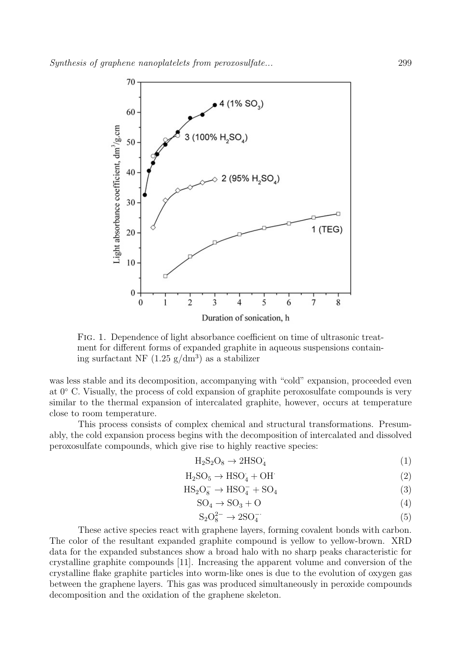

Fig. 1. Dependence of light absorbance coefficient on time of ultrasonic treatment for different forms of expanded graphite in aqueous suspensions containing surfactant NF  $(1.25 \text{ g}/\text{dm}^3)$  as a stabilizer

was less stable and its decomposition, accompanying with "cold" expansion, proceeded even at 0◦ C. Visually, the process of cold expansion of graphite peroxosulfate compounds is very similar to the thermal expansion of intercalated graphite, however, occurs at temperature close to room temperature.

This process consists of complex chemical and structural transformations. Presumably, the cold expansion process begins with the decomposition of intercalated and dissolved peroxosulfate compounds, which give rise to highly reactive species:

$$
H_2S_2O_8 \to 2HSO_4 \tag{1}
$$

$$
H_2SO_5 \to HSO_4 + OH \tag{2}
$$

$$
HS_2O_8^- \rightarrow HSO_4^- + SO_4 \tag{3}
$$

$$
SO_4 \to SO_3 + O \tag{4}
$$

$$
S_2O_8^{2-} \to 2SO_4^{-}. \tag{5}
$$

These active species react with graphene layers, forming covalent bonds with carbon. The color of the resultant expanded graphite compound is yellow to yellow-brown. XRD data for the expanded substances show a broad halo with no sharp peaks characteristic for crystalline graphite compounds [11]. Increasing the apparent volume and conversion of the crystalline flake graphite particles into worm-like ones is due to the evolution of oxygen gas between the graphene layers. This gas was produced simultaneously in peroxide compounds decomposition and the oxidation of the graphene skeleton.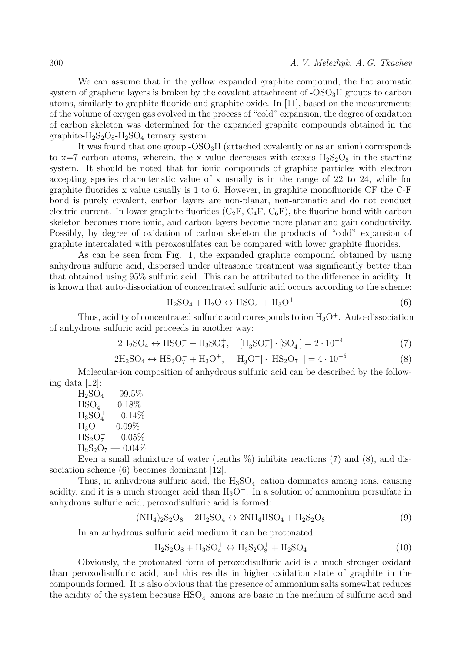We can assume that in the yellow expanded graphite compound, the flat aromatic system of graphene layers is broken by the covalent attachment of  $\text{-OSO}_3H$  groups to carbon atoms, similarly to graphite fluoride and graphite oxide. In [11], based on the measurements of the volume of oxygen gas evolved in the process of "cold" expansion, the degree of oxidation of carbon skeleton was determined for the expanded graphite compounds obtained in the graphite- $H_2S_2O_8-H_2SO_4$  ternary system.

It was found that one group -OSO3H (attached covalently or as an anion) corresponds to  $x=7$  carbon atoms, wherein, the x value decreases with excess  $H_2S_2O_8$  in the starting system. It should be noted that for ionic compounds of graphite particles with electron accepting species characteristic value of x usually is in the range of 22 to 24, while for graphite fluorides x value usually is 1 to 6. However, in graphite monofluoride CF the C-F bond is purely covalent, carbon layers are non-planar, non-aromatic and do not conduct electric current. In lower graphite fluorides  $(C_2F, C_4F, C_6F)$ , the fluorine bond with carbon skeleton becomes more ionic, and carbon layers become more planar and gain conductivity. Possibly, by degree of oxidation of carbon skeleton the products of "cold" expansion of graphite intercalated with peroxosulfates can be compared with lower graphite fluorides.

As can be seen from Fig. 1, the expanded graphite compound obtained by using anhydrous sulfuric acid, dispersed under ultrasonic treatment was significantly better than that obtained using 95% sulfuric acid. This can be attributed to the difference in acidity. It is known that auto-dissociation of concentrated sulfuric acid occurs according to the scheme:

$$
H_2SO_4 + H_2O \leftrightarrow HSO_4^- + H_3O^+ \tag{6}
$$

Thus, acidity of concentrated sulfuric acid corresponds to ion  $H_3O^+$ . Auto-dissociation of anhydrous sulfuric acid proceeds in another way:

$$
2H_2SO_4 \leftrightarrow HSO_4^- + H_3SO_4^+, \quad [H_3SO_4^+] \cdot [SO_4^-] = 2 \cdot 10^{-4} \tag{7}
$$

$$
2H_2SO_4 \leftrightarrow HS_2O_7^- + H_3O^+, \quad [H_3O^+] \cdot [HS_2O_{7^-}] = 4 \cdot 10^{-5}
$$
 (8)

Molecular-ion composition of anhydrous sulfuric acid can be described by the following data [12]:

 $_{\rm H_2SO_4}$  —  $99.5\%$  $\mathrm{HSO}_4^-=0.18\%$  ${\rm H_3SO_4^+} - 0.14\%$  $_{\rm H_3O^+}$  — 0.09%  $_{\rm HS_2O_7^--0.05\%}$  $H_2S_2O_7 - 0.04\%$ 

Even a small admixture of water (tenths  $\%$ ) inhibits reactions (7) and (8), and dissociation scheme (6) becomes dominant [12].

Thus, in anhydrous sulfuric acid, the  $H_3SO_4^+$  cation dominates among ions, causing acidity, and it is a much stronger acid than  $H_3O^+$ . In a solution of ammonium persulfate in anhydrous sulfuric acid, peroxodisulfuric acid is formed:

$$
(NH4)2S2O8 + 2H2SO4 \leftrightarrow 2NH4HSO4 + H2S2O8
$$
\n(9)

In an anhydrous sulfuric acid medium it can be protonated:

$$
H_2S_2O_8 + H_3SO_4^+ \leftrightarrow H_3S_2O_8^+ + H_2SO_4 \tag{10}
$$

Obviously, the protonated form of peroxodisulfuric acid is a much stronger oxidant than peroxodisulfuric acid, and this results in higher oxidation state of graphite in the compounds formed. It is also obvious that the presence of ammonium salts somewhat reduces the acidity of the system because  $\text{HSO}_4^-$  anions are basic in the medium of sulfuric acid and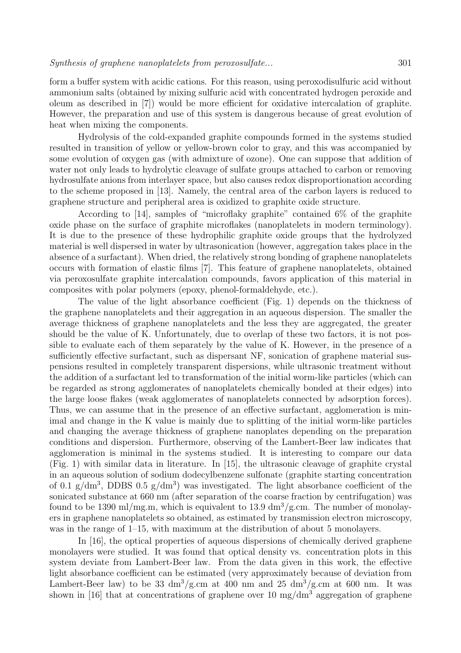form a buffer system with acidic cations. For this reason, using peroxodisulfuric acid without ammonium salts (obtained by mixing sulfuric acid with concentrated hydrogen peroxide and oleum as described in [7]) would be more efficient for oxidative intercalation of graphite. However, the preparation and use of this system is dangerous because of great evolution of heat when mixing the components.

Hydrolysis of the cold-expanded graphite compounds formed in the systems studied resulted in transition of yellow or yellow-brown color to gray, and this was accompanied by some evolution of oxygen gas (with admixture of ozone). One can suppose that addition of water not only leads to hydrolytic cleavage of sulfate groups attached to carbon or removing hydrosulfate anions from interlayer space, but also causes redox disproportionation according to the scheme proposed in [13]. Namely, the central area of the carbon layers is reduced to graphene structure and peripheral area is oxidized to graphite oxide structure.

According to [14], samples of "microflaky graphite" contained 6% of the graphite oxide phase on the surface of graphite microflakes (nanoplatelets in modern terminology). It is due to the presence of these hydrophilic graphite oxide groups that the hydrolyzed material is well dispersed in water by ultrasonication (however, aggregation takes place in the absence of a surfactant). When dried, the relatively strong bonding of graphene nanoplatelets occurs with formation of elastic films [7]. This feature of graphene nanoplatelets, obtained via peroxosulfate graphite intercalation compounds, favors application of this material in composites with polar polymers (epoxy, phenol-formaldehyde, etc.).

The value of the light absorbance coefficient (Fig. 1) depends on the thickness of the graphene nanoplatelets and their aggregation in an aqueous dispersion. The smaller the average thickness of graphene nanoplatelets and the less they are aggregated, the greater should be the value of K. Unfortunately, due to overlap of these two factors, it is not possible to evaluate each of them separately by the value of K. However, in the presence of a sufficiently effective surfactant, such as dispersant NF, sonication of graphene material suspensions resulted in completely transparent dispersions, while ultrasonic treatment without the addition of a surfactant led to transformation of the initial worm-like particles (which can be regarded as strong agglomerates of nanoplatelets chemically bonded at their edges) into the large loose flakes (weak agglomerates of nanoplatelets connected by adsorption forces). Thus, we can assume that in the presence of an effective surfactant, agglomeration is minimal and change in the K value is mainly due to splitting of the initial worm-like particles and changing the average thickness of graphene nanoplates depending on the preparation conditions and dispersion. Furthermore, observing of the Lambert-Beer law indicates that agglomeration is minimal in the systems studied. It is interesting to compare our data (Fig. 1) with similar data in literature. In [15], the ultrasonic cleavage of graphite crystal in an aqueous solution of sodium dodecylbenzene sulfonate (graphite starting concentration of 0.1  $g/dm^3$ , DDBS 0.5  $g/dm^3$ ) was investigated. The light absorbance coefficient of the sonicated substance at 660 nm (after separation of the coarse fraction by centrifugation) was found to be 1390 ml/mg.m, which is equivalent to 13.9  $\frac{dm^3}{g}$ .cm. The number of monolayers in graphene nanoplatelets so obtained, as estimated by transmission electron microscopy, was in the range of 1–15, with maximum at the distribution of about 5 monolayers.

In [16], the optical properties of aqueous dispersions of chemically derived graphene monolayers were studied. It was found that optical density vs. concentration plots in this system deviate from Lambert-Beer law. From the data given in this work, the effective light absorbance coefficient can be estimated (very approximately because of deviation from Lambert-Beer law) to be 33  $\mathrm{dm}^3/\mathrm{g.cm}$  at 400 nm and 25  $\mathrm{dm}^3/\mathrm{g.cm}$  at 600 nm. It was shown in [16] that at concentrations of graphene over 10 mg/dm<sup>3</sup> aggregation of graphene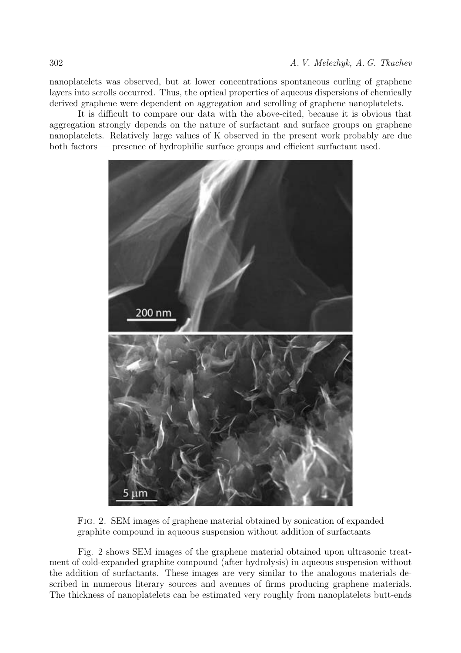nanoplatelets was observed, but at lower concentrations spontaneous curling of graphene layers into scrolls occurred. Thus, the optical properties of aqueous dispersions of chemically derived graphene were dependent on aggregation and scrolling of graphene nanoplatelets.

It is difficult to compare our data with the above-cited, because it is obvious that aggregation strongly depends on the nature of surfactant and surface groups on graphene nanoplatelets. Relatively large values of K observed in the present work probably are due both factors — presence of hydrophilic surface groups and efficient surfactant used.



Fig. 2. SEM images of graphene material obtained by sonication of expanded graphite compound in aqueous suspension without addition of surfactants

Fig. 2 shows SEM images of the graphene material obtained upon ultrasonic treatment of cold-expanded graphite compound (after hydrolysis) in aqueous suspension without the addition of surfactants. These images are very similar to the analogous materials described in numerous literary sources and avenues of firms producing graphene materials. The thickness of nanoplatelets can be estimated very roughly from nanoplatelets butt-ends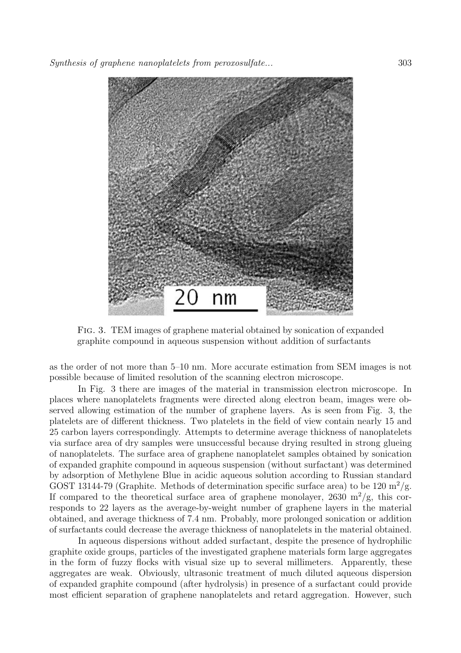

Fig. 3. TEM images of graphene material obtained by sonication of expanded graphite compound in aqueous suspension without addition of surfactants

as the order of not more than 5–10 nm. More accurate estimation from SEM images is not possible because of limited resolution of the scanning electron microscope.

In Fig. 3 there are images of the material in transmission electron microscope. In places where nanoplatelets fragments were directed along electron beam, images were observed allowing estimation of the number of graphene layers. As is seen from Fig. 3, the platelets are of different thickness. Two platelets in the field of view contain nearly 15 and 25 carbon layers correspondingly. Attempts to determine average thickness of nanoplatelets via surface area of dry samples were unsuccessful because drying resulted in strong glueing of nanoplatelets. The surface area of graphene nanoplatelet samples obtained by sonication of expanded graphite compound in aqueous suspension (without surfactant) was determined by adsorption of Methylene Blue in acidic aqueous solution according to Russian standard GOST 13144-79 (Graphite. Methods of determination specific surface area) to be 120  $\mathrm{m}^2/\mathrm{g}$ . If compared to the theoretical surface area of graphene monolayer, 2630 m<sup>2</sup>/g, this corresponds to 22 layers as the average-by-weight number of graphene layers in the material obtained, and average thickness of 7.4 nm. Probably, more prolonged sonication or addition of surfactants could decrease the average thickness of nanoplatelets in the material obtained.

In aqueous dispersions without added surfactant, despite the presence of hydrophilic graphite oxide groups, particles of the investigated graphene materials form large aggregates in the form of fuzzy flocks with visual size up to several millimeters. Apparently, these aggregates are weak. Obviously, ultrasonic treatment of much diluted aqueous dispersion of expanded graphite compound (after hydrolysis) in presence of a surfactant could provide most efficient separation of graphene nanoplatelets and retard aggregation. However, such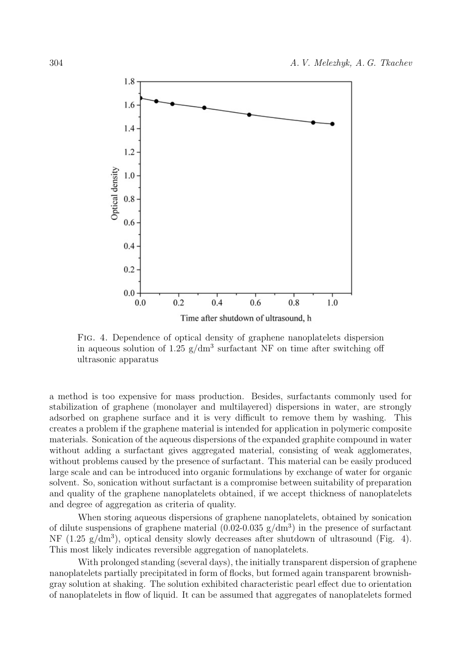

Fig. 4. Dependence of optical density of graphene nanoplatelets dispersion in aqueous solution of 1.25  $g/dm<sup>3</sup>$  surfactant NF on time after switching off ultrasonic apparatus

a method is too expensive for mass production. Besides, surfactants commonly used for stabilization of graphene (monolayer and multilayered) dispersions in water, are strongly adsorbed on graphene surface and it is very difficult to remove them by washing. This creates a problem if the graphene material is intended for application in polymeric composite materials. Sonication of the aqueous dispersions of the expanded graphite compound in water without adding a surfactant gives aggregated material, consisting of weak agglomerates, without problems caused by the presence of surfactant. This material can be easily produced large scale and can be introduced into organic formulations by exchange of water for organic solvent. So, sonication without surfactant is a compromise between suitability of preparation and quality of the graphene nanoplatelets obtained, if we accept thickness of nanoplatelets and degree of aggregation as criteria of quality.

When storing aqueous dispersions of graphene nanoplatelets, obtained by sonication of dilute suspensions of graphene material  $(0.02{\text -}0.035 \text{ g}/\text{dm}^3)$  in the presence of surfactant NF  $(1.25 \text{ g}/\text{dm}^3)$ , optical density slowly decreases after shutdown of ultrasound (Fig. 4). This most likely indicates reversible aggregation of nanoplatelets.

With prolonged standing (several days), the initially transparent dispersion of graphene nanoplatelets partially precipitated in form of flocks, but formed again transparent brownishgray solution at shaking. The solution exhibited characteristic pearl effect due to orientation of nanoplatelets in flow of liquid. It can be assumed that aggregates of nanoplatelets formed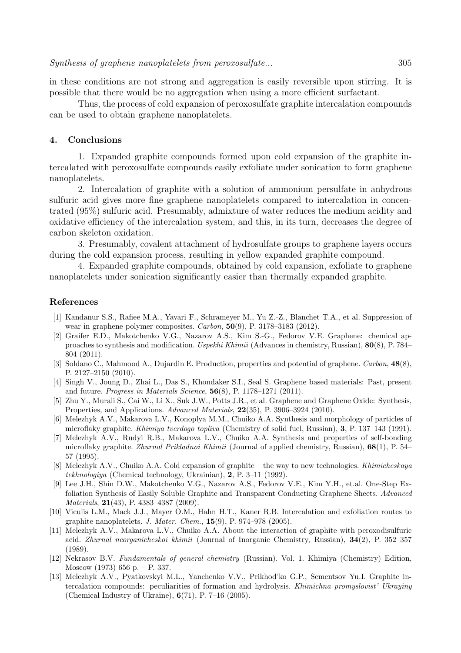in these conditions are not strong and aggregation is easily reversible upon stirring. It is possible that there would be no aggregation when using a more efficient surfactant.

Thus, the process of cold expansion of peroxosulfate graphite intercalation compounds can be used to obtain graphene nanoplatelets.

#### **4. Conclusions**

1. Expanded graphite compounds formed upon cold expansion of the graphite intercalated with peroxosulfate compounds easily exfoliate under sonication to form graphene nanoplatelets.

2. Intercalation of graphite with a solution of ammonium persulfate in anhydrous sulfuric acid gives more fine graphene nanoplatelets compared to intercalation in concentrated (95%) sulfuric acid. Presumably, admixture of water reduces the medium acidity and oxidative efficiency of the intercalation system, and this, in its turn, decreases the degree of carbon skeleton oxidation.

3. Presumably, covalent attachment of hydrosulfate groups to graphene layers occurs during the cold expansion process, resulting in yellow expanded graphite compound.

4. Expanded graphite compounds, obtained by cold expansion, exfoliate to graphene nanoplatelets under sonication significantly easier than thermally expanded graphite.

#### **References**

- [1] Kandanur S.S., Rafiee M.A., Yavari F., Schrameyer M., Yu Z.-Z., Blanchet T.A., et al. Suppression of wear in graphene polymer composites. *Carbon*, **50**(9), P. 3178–3183 (2012).
- [2] Graifer E.D., Makotchenko V.G., Nazarov A.S., Kim S.-G., Fedorov V.E. Graphene: chemical approaches to synthesis and modification. *Uspekhi Khimii* (Advances in chemistry, Russian), **80**(8), P. 784– 804 (2011).
- [3] Soldano C., Mahmood A., Dujardin E. Production, properties and potential of graphene. *Carbon*, **48**(8), P. 2127–2150 (2010).
- [4] Singh V., Joung D., Zhai L., Das S., Khondaker S.I., Seal S. Graphene based materials: Past, present and future. *Progress in Materials Science*, **56**(8), P. 1178–1271 (2011).
- [5] Zhu Y., Murali S., Cai W., Li X., Suk J.W., Potts J.R., et al. Graphene and Graphene Oxide: Synthesis, Properties, and Applications. *Advanced Materials*, **22**(35), P. 3906–3924 (2010).
- [6] Melezhyk A.V., Makarova L.V., Konoplya M.M., Chuiko A.A. Synthesis and morphology of particles of microflaky graphite. *Khimiya tverdogo topliva* (Chemistry of solid fuel, Russian), **3**, P. 137–143 (1991).
- [7] Melezhyk A.V., Rudyi R.B., Makarova L.V., Chuiko A.A. Synthesis and properties of self-bonding microflaky graphite. *Zhurnal Prikladnoi Khimii* (Journal of applied chemistry, Russian), **68**(1), P. 54– 57 (1995).
- [8] Melezhyk A.V., Chuiko A.A. Cold expansion of graphite the way to new technologies. *Khimicheskaya tekhnologiya* (Chemical technology, Ukrainian), **2**, P. 3–11 (1992).
- [9] Lee J.H., Shin D.W., Makotchenko V.G., Nazarov A.S., Fedorov V.E., Kim Y.H., et.al. One-Step Exfoliation Synthesis of Easily Soluble Graphite and Transparent Conducting Graphene Sheets. *Advanced Materials*, **21**(43), P. 4383–4387 (2009).
- [10] Viculis L.M., Mack J.J., Mayer O.M., Hahn H.T., Kaner R.B. Intercalation and exfoliation routes to graphite nanoplatelets. *J. Mater. Chem.*, **15**(9), P. 974–978 (2005).
- [11] Melezhyk A.V., Makarova L.V., Chuiko A.A. About the interaction of graphite with peroxodisulfuric acid. *Zhurnal neorganicheskoi khimii* (Journal of Inorganic Chemistry, Russian), **34**(2), P. 352–357 (1989).
- [12] Nekrasov B.V. *Fundamentals of general chemistry* (Russian). Vol. 1. Khimiya (Chemistry) Edition, Moscow (1973) 656 p. – P. 337.
- [13] Melezhyk A.V., Pyatkovskyi M.L., Yanchenko V.V., Prikhod'ko G.P., Sementsov Yu.I. Graphite intercalation compounds: peculiarities of formation and hydrolysis. *Khimichna promyslovist' Ukrayiny* (Chemical Industry of Ukraine), **6**(71), P. 7–16 (2005).